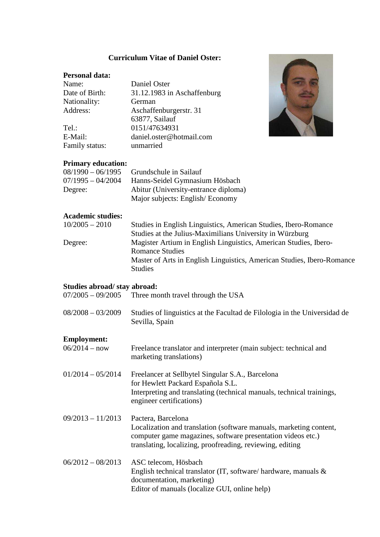#### **Curriculum Vitae of Daniel Oster:**

### **Personal data:**

| Name:          | Daniel Oster                |
|----------------|-----------------------------|
| Date of Birth: | 31.12.1983 in Aschaffenburg |
| Nationality:   | German                      |
| Address:       | Aschaffenburgerstr. 31      |
|                | 63877, Sailauf              |
| Tel.:          | 0151/47634931               |
| E-Mail:        | daniel.oster@hotmail.com    |
| Family status: | unmarried                   |



### **Primary education:**

| $08/1990 - 06/1995$ | Grundschule in Sailauf               |
|---------------------|--------------------------------------|
| $07/1995 - 04/2004$ | Hanns-Seidel Gymnasium Hösbach       |
| Degree:             | Abitur (University-entrance diploma) |
|                     | Major subjects: English/Economy      |

# **Academic studies:**

| $10/2005 - 2010$ | Studies in English Linguistics, American Studies, Ibero-Romance        |
|------------------|------------------------------------------------------------------------|
|                  | Studies at the Julius-Maximilians University in Würzburg               |
| Degree:          | Magister Artium in English Linguistics, American Studies, Ibero-       |
|                  | <b>Romance Studies</b>                                                 |
|                  | Master of Arts in English Linguistics, American Studies, Ibero-Romance |
|                  | <b>Studies</b>                                                         |

# **Studies abroad/ stay abroad:**

- 07/2005 09/2005 Three month travel through the USA
- 08/2008 03/2009 Studies of linguistics at the Facultad de Filologia in the Universidad de Sevilla, Spain

## **Employment:**

| $06/2014 - now$     | Freelance translator and interpreter (main subject: technical and<br>marketing translations)                                                                                                                         |
|---------------------|----------------------------------------------------------------------------------------------------------------------------------------------------------------------------------------------------------------------|
| $01/2014 - 05/2014$ | Freelancer at Sellbytel Singular S.A., Barcelona<br>for Hewlett Packard Española S.L.<br>Interpreting and translating (technical manuals, technical trainings,<br>engineer certifications)                           |
| $09/2013 - 11/2013$ | Pactera, Barcelona<br>Localization and translation (software manuals, marketing content,<br>computer game magazines, software presentation videos etc.)<br>translating, localizing, proofreading, reviewing, editing |
| $06/2012 - 08/2013$ | ASC telecom, Hösbach<br>English technical translator (IT, software/hardware, manuals $\&$<br>documentation, marketing)<br>Editor of manuals (localize GUI, online help)                                              |